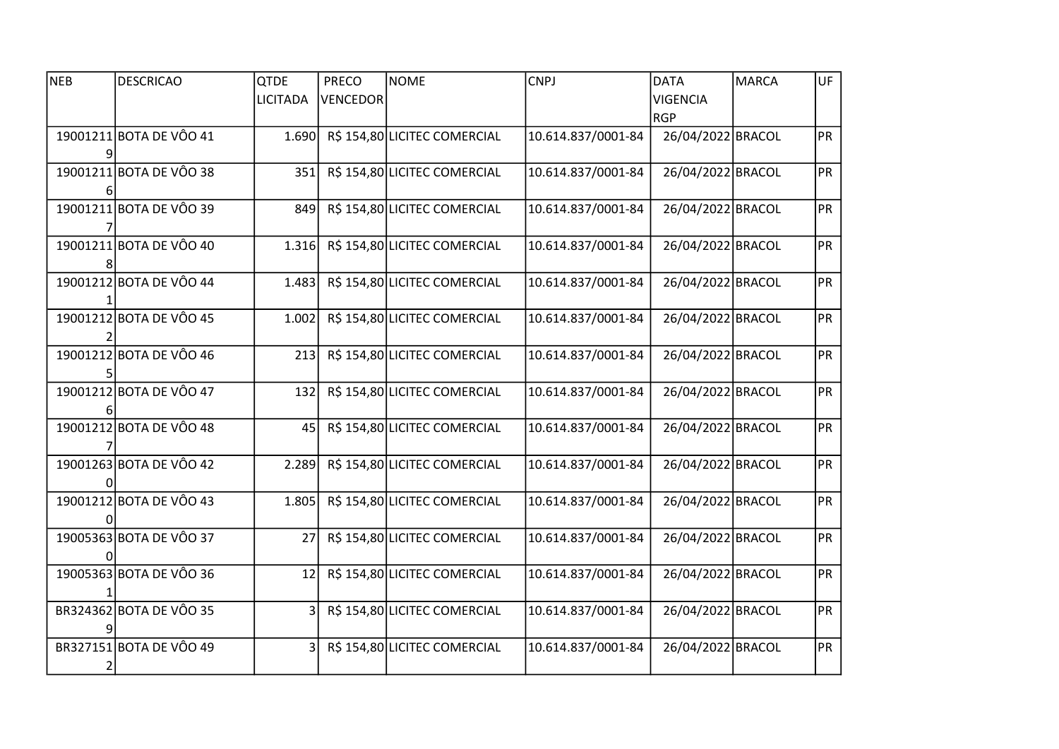| <b>NEB</b> | <b>DESCRICAO</b>        | <b>QTDE</b>     | <b>PRECO</b>    | NOME                         | <b>CNPJ</b>        | <b>DATA</b>       | <b>MARCA</b> | UF        |
|------------|-------------------------|-----------------|-----------------|------------------------------|--------------------|-------------------|--------------|-----------|
|            |                         | <b>LICITADA</b> | <b>VENCEDOR</b> |                              |                    | <b>VIGENCIA</b>   |              |           |
|            |                         |                 |                 |                              |                    | <b>RGP</b>        |              |           |
|            | 19001211 BOTA DE VÔO 41 | 1.690           |                 | R\$ 154,80 LICITEC COMERCIAL | 10.614.837/0001-84 | 26/04/2022 BRACOL |              | PR        |
|            |                         |                 |                 |                              |                    |                   |              |           |
|            | 19001211 BOTA DE VÔO 38 | 351             |                 | R\$ 154,80 LICITEC COMERCIAL | 10.614.837/0001-84 | 26/04/2022 BRACOL |              | <b>PR</b> |
|            |                         |                 |                 |                              |                    |                   |              |           |
|            | 19001211 BOTA DE VÔO 39 | 849             |                 | R\$ 154,80 LICITEC COMERCIAL | 10.614.837/0001-84 | 26/04/2022 BRACOL |              | <b>PR</b> |
|            |                         |                 |                 |                              |                    |                   |              |           |
|            | 19001211 BOTA DE VÔO 40 | 1.316           |                 | R\$ 154,80 LICITEC COMERCIAL | 10.614.837/0001-84 | 26/04/2022 BRACOL |              | <b>PR</b> |
|            |                         |                 |                 |                              |                    |                   |              |           |
|            | 19001212 BOTA DE VÔO 44 | 1.483           |                 | R\$ 154,80 LICITEC COMERCIAL | 10.614.837/0001-84 | 26/04/2022 BRACOL |              | <b>PR</b> |
|            |                         |                 |                 |                              |                    |                   |              |           |
|            | 19001212 BOTA DE VÔO 45 | 1.002           |                 | R\$ 154,80 LICITEC COMERCIAL | 10.614.837/0001-84 | 26/04/2022 BRACOL |              | <b>PR</b> |
|            |                         |                 |                 |                              |                    |                   |              |           |
|            | 19001212 BOTA DE VÔO 46 | 213             |                 | R\$ 154,80 LICITEC COMERCIAL | 10.614.837/0001-84 | 26/04/2022 BRACOL |              | <b>PR</b> |
|            |                         |                 |                 |                              |                    |                   |              |           |
|            | 19001212 BOTA DE VÔO 47 | 132             |                 | R\$ 154,80 LICITEC COMERCIAL | 10.614.837/0001-84 | 26/04/2022 BRACOL |              | <b>PR</b> |
|            |                         |                 |                 |                              |                    |                   |              |           |
|            | 19001212 BOTA DE VÔO 48 | 45              |                 | R\$ 154,80 LICITEC COMERCIAL | 10.614.837/0001-84 | 26/04/2022 BRACOL |              | <b>PR</b> |
|            |                         |                 |                 |                              |                    |                   |              |           |
|            | 19001263 BOTA DE VÔO 42 | 2.289           |                 | R\$ 154,80 LICITEC COMERCIAL | 10.614.837/0001-84 | 26/04/2022 BRACOL |              | <b>PR</b> |
|            |                         |                 |                 |                              |                    |                   |              |           |
|            | 19001212 BOTA DE VÔO 43 | 1.805           |                 | R\$ 154,80 LICITEC COMERCIAL | 10.614.837/0001-84 | 26/04/2022 BRACOL |              | PR        |
|            |                         |                 |                 |                              |                    |                   |              |           |
|            | 19005363 BOTA DE VÔO 37 | 27              |                 | R\$ 154,80 LICITEC COMERCIAL | 10.614.837/0001-84 | 26/04/2022 BRACOL |              | <b>PR</b> |
|            |                         |                 |                 |                              |                    |                   |              |           |
|            | 19005363 BOTA DE VÔO 36 | 12              |                 | R\$ 154,80 LICITEC COMERCIAL | 10.614.837/0001-84 | 26/04/2022 BRACOL |              | PR        |
|            |                         |                 |                 |                              |                    |                   |              |           |
|            | BR324362 BOTA DE VÔO 35 | $\overline{3}$  |                 | R\$ 154,80 LICITEC COMERCIAL | 10.614.837/0001-84 | 26/04/2022 BRACOL |              | <b>PR</b> |
|            |                         |                 |                 |                              |                    |                   |              |           |
|            | BR327151 BOTA DE VÔO 49 | 3               |                 | R\$ 154,80 LICITEC COMERCIAL | 10.614.837/0001-84 | 26/04/2022 BRACOL |              | <b>PR</b> |
|            |                         |                 |                 |                              |                    |                   |              |           |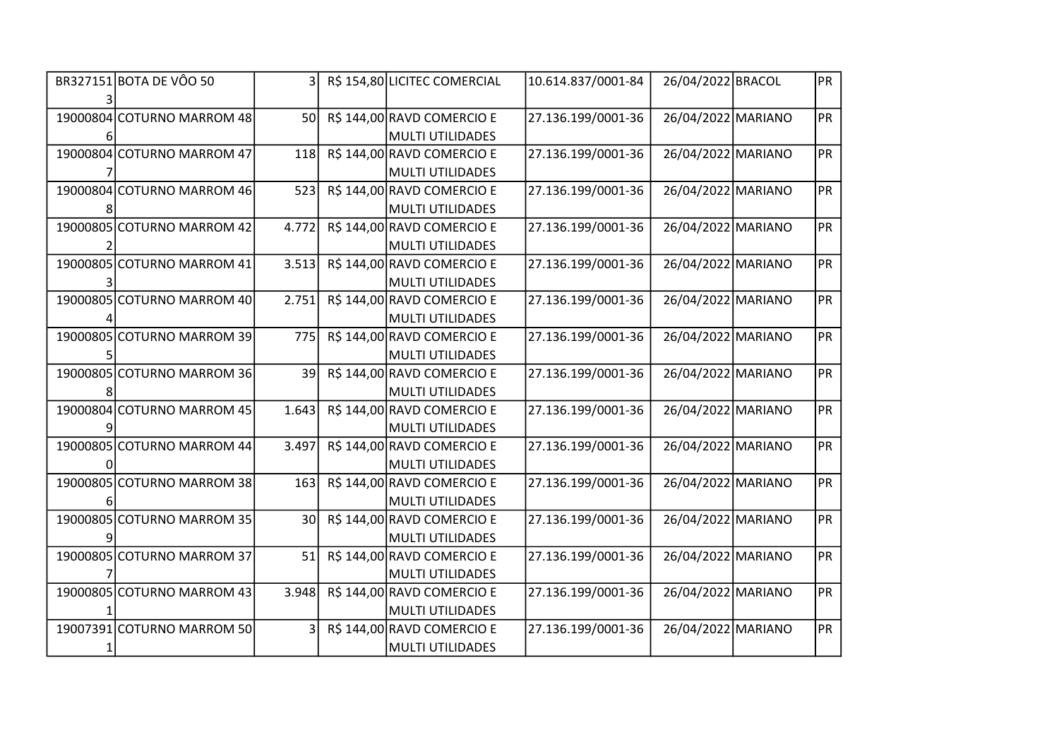| BR327151 BOTA DE VÔO 50    | $\overline{3}$  | R\$ 154,80 LICITEC COMERCIAL                          | 10.614.837/0001-84 | 26/04/2022 BRACOL  | <b>PR</b> |
|----------------------------|-----------------|-------------------------------------------------------|--------------------|--------------------|-----------|
| 19000804 COTURNO MARROM 48 | 50              | R\$ 144,00 RAVD COMERCIO E                            | 27.136.199/0001-36 | 26/04/2022 MARIANO | <b>PR</b> |
| 19000804 COTURNO MARROM 47 | 118             | <b>MULTI UTILIDADES</b><br>R\$ 144,00 RAVD COMERCIO E | 27.136.199/0001-36 | 26/04/2022 MARIANO | <b>PR</b> |
|                            |                 | <b>MULTI UTILIDADES</b>                               |                    |                    |           |
| 19000804 COTURNO MARROM 46 | 523             | R\$ 144,00 RAVD COMERCIO E                            | 27.136.199/0001-36 | 26/04/2022 MARIANO | PR        |
|                            |                 | <b>MULTI UTILIDADES</b>                               |                    |                    |           |
| 19000805 COTURNO MARROM 42 | 4.772           | R\$ 144,00 RAVD COMERCIO E                            | 27.136.199/0001-36 | 26/04/2022 MARIANO | <b>PR</b> |
|                            |                 | <b>MULTI UTILIDADES</b>                               |                    |                    |           |
| 19000805 COTURNO MARROM 41 | 3.513           | R\$ 144,00 RAVD COMERCIO E                            | 27.136.199/0001-36 | 26/04/2022 MARIANO | <b>PR</b> |
|                            |                 | <b>MULTI UTILIDADES</b>                               |                    |                    |           |
| 19000805 COTURNO MARROM 40 | 2.751           | R\$ 144,00 RAVD COMERCIO E                            | 27.136.199/0001-36 | 26/04/2022 MARIANO | PR        |
|                            |                 | <b>MULTI UTILIDADES</b>                               |                    |                    |           |
| 19000805 COTURNO MARROM 39 | 775             | R\$ 144,00 RAVD COMERCIO E                            | 27.136.199/0001-36 | 26/04/2022 MARIANO | <b>PR</b> |
|                            |                 | <b>MULTI UTILIDADES</b>                               |                    |                    |           |
| 19000805 COTURNO MARROM 36 | 39              | R\$ 144,00 RAVD COMERCIO E                            | 27.136.199/0001-36 | 26/04/2022 MARIANO | <b>PR</b> |
|                            |                 | <b>MULTI UTILIDADES</b>                               |                    |                    |           |
| 19000804 COTURNO MARROM 45 | 1.643           | R\$ 144,00 RAVD COMERCIO E                            | 27.136.199/0001-36 | 26/04/2022 MARIANO | <b>PR</b> |
|                            |                 | <b>MULTI UTILIDADES</b>                               |                    |                    |           |
| 19000805 COTURNO MARROM 44 | 3.497           | R\$ 144,00 RAVD COMERCIO E                            | 27.136.199/0001-36 | 26/04/2022 MARIANO | PR        |
|                            |                 | <b>MULTI UTILIDADES</b>                               |                    |                    |           |
| 19000805 COTURNO MARROM 38 | 163             | R\$ 144,00 RAVD COMERCIO E                            | 27.136.199/0001-36 | 26/04/2022 MARIANO | <b>PR</b> |
|                            |                 | <b>MULTI UTILIDADES</b>                               |                    |                    |           |
| 19000805 COTURNO MARROM 35 | 30 <sup>1</sup> | R\$ 144,00 RAVD COMERCIO E                            | 27.136.199/0001-36 | 26/04/2022 MARIANO | <b>PR</b> |
|                            |                 | <b>MULTI UTILIDADES</b>                               |                    |                    |           |
| 19000805 COTURNO MARROM 37 | 51              | R\$ 144,00 RAVD COMERCIO E                            | 27.136.199/0001-36 | 26/04/2022 MARIANO | <b>PR</b> |
|                            |                 | <b>MULTI UTILIDADES</b>                               |                    |                    |           |
| 19000805 COTURNO MARROM 43 | 3.948           | R\$ 144,00 RAVD COMERCIO E                            | 27.136.199/0001-36 | 26/04/2022 MARIANO | <b>PR</b> |
|                            |                 | <b>MULTI UTILIDADES</b>                               |                    |                    |           |
| 19007391 COTURNO MARROM 50 | 3 <sup>1</sup>  | R\$ 144,00 RAVD COMERCIO E                            | 27.136.199/0001-36 | 26/04/2022 MARIANO | <b>PR</b> |
|                            |                 | <b>MULTI UTILIDADES</b>                               |                    |                    |           |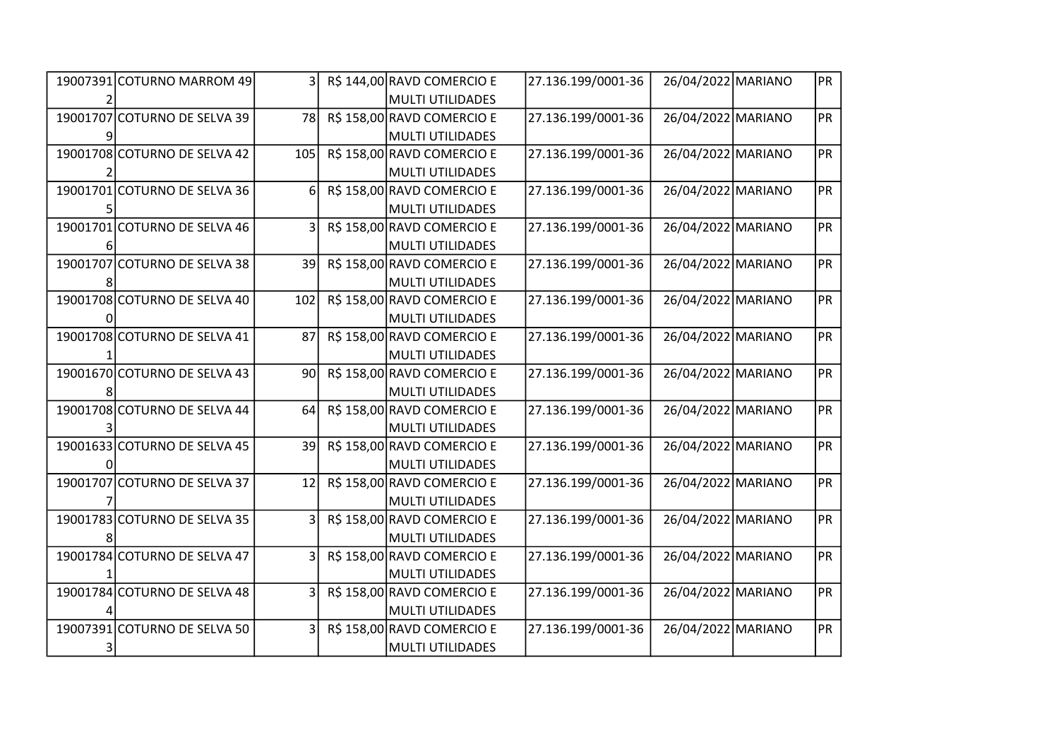| 19007391 COTURNO MARROM 49   | $\overline{3}$ | R\$ 144,00 RAVD COMERCIO E | 27.136.199/0001-36 | 26/04/2022 MARIANO | <b>PR</b> |
|------------------------------|----------------|----------------------------|--------------------|--------------------|-----------|
|                              |                | <b>MULTI UTILIDADES</b>    |                    |                    |           |
| 19001707 COTURNO DE SELVA 39 | 78             | R\$ 158,00 RAVD COMERCIO E | 27.136.199/0001-36 | 26/04/2022 MARIANO | <b>PR</b> |
|                              |                | <b>MULTI UTILIDADES</b>    |                    |                    |           |
| 19001708 COTURNO DE SELVA 42 | 105            | R\$ 158,00 RAVD COMERCIO E | 27.136.199/0001-36 | 26/04/2022 MARIANO | <b>PR</b> |
|                              |                | <b>MULTI UTILIDADES</b>    |                    |                    |           |
| 19001701 COTURNO DE SELVA 36 | 6              | R\$ 158,00 RAVD COMERCIO E | 27.136.199/0001-36 | 26/04/2022 MARIANO | PR        |
|                              |                | <b>MULTI UTILIDADES</b>    |                    |                    |           |
| 19001701 COTURNO DE SELVA 46 |                | R\$ 158,00 RAVD COMERCIO E | 27.136.199/0001-36 | 26/04/2022 MARIANO | <b>PR</b> |
|                              |                | <b>MULTI UTILIDADES</b>    |                    |                    |           |
| 19001707 COTURNO DE SELVA 38 | 39             | R\$ 158,00 RAVD COMERCIO E | 27.136.199/0001-36 | 26/04/2022 MARIANO | <b>PR</b> |
|                              |                | <b>MULTI UTILIDADES</b>    |                    |                    |           |
| 19001708 COTURNO DE SELVA 40 | 102            | R\$ 158,00 RAVD COMERCIO E | 27.136.199/0001-36 | 26/04/2022 MARIANO | <b>PR</b> |
|                              |                | <b>MULTI UTILIDADES</b>    |                    |                    |           |
| 19001708 COTURNO DE SELVA 41 | 87             | R\$ 158,00 RAVD COMERCIO E | 27.136.199/0001-36 | 26/04/2022 MARIANO | <b>PR</b> |
|                              |                | <b>MULTI UTILIDADES</b>    |                    |                    |           |
| 19001670 COTURNO DE SELVA 43 | 90             | R\$ 158,00 RAVD COMERCIO E | 27.136.199/0001-36 | 26/04/2022 MARIANO | <b>PR</b> |
|                              |                | <b>MULTI UTILIDADES</b>    |                    |                    |           |
| 19001708 COTURNO DE SELVA 44 | 64             | R\$ 158,00 RAVD COMERCIO E | 27.136.199/0001-36 | 26/04/2022 MARIANO | <b>PR</b> |
|                              |                | <b>MULTI UTILIDADES</b>    |                    |                    |           |
| 19001633 COTURNO DE SELVA 45 | 39             | R\$ 158,00 RAVD COMERCIO E | 27.136.199/0001-36 | 26/04/2022 MARIANO | PR        |
|                              |                | <b>MULTI UTILIDADES</b>    |                    |                    |           |
| 19001707 COTURNO DE SELVA 37 | 12             | R\$ 158,00 RAVD COMERCIO E | 27.136.199/0001-36 | 26/04/2022 MARIANO | <b>PR</b> |
|                              |                | <b>MULTI UTILIDADES</b>    |                    |                    |           |
| 19001783 COTURNO DE SELVA 35 |                | R\$ 158,00 RAVD COMERCIO E | 27.136.199/0001-36 | 26/04/2022 MARIANO | <b>PR</b> |
|                              |                | <b>MULTI UTILIDADES</b>    |                    |                    |           |
| 19001784 COTURNO DE SELVA 47 | 3              | R\$ 158,00 RAVD COMERCIO E | 27.136.199/0001-36 | 26/04/2022 MARIANO | <b>PR</b> |
|                              |                | <b>MULTI UTILIDADES</b>    |                    |                    |           |
| 19001784 COTURNO DE SELVA 48 |                | R\$ 158,00 RAVD COMERCIO E | 27.136.199/0001-36 | 26/04/2022 MARIANO | <b>PR</b> |
|                              |                | <b>MULTI UTILIDADES</b>    |                    |                    |           |
| 19007391 COTURNO DE SELVA 50 |                | R\$ 158,00 RAVD COMERCIO E | 27.136.199/0001-36 | 26/04/2022 MARIANO | <b>PR</b> |
|                              |                | <b>MULTI UTILIDADES</b>    |                    |                    |           |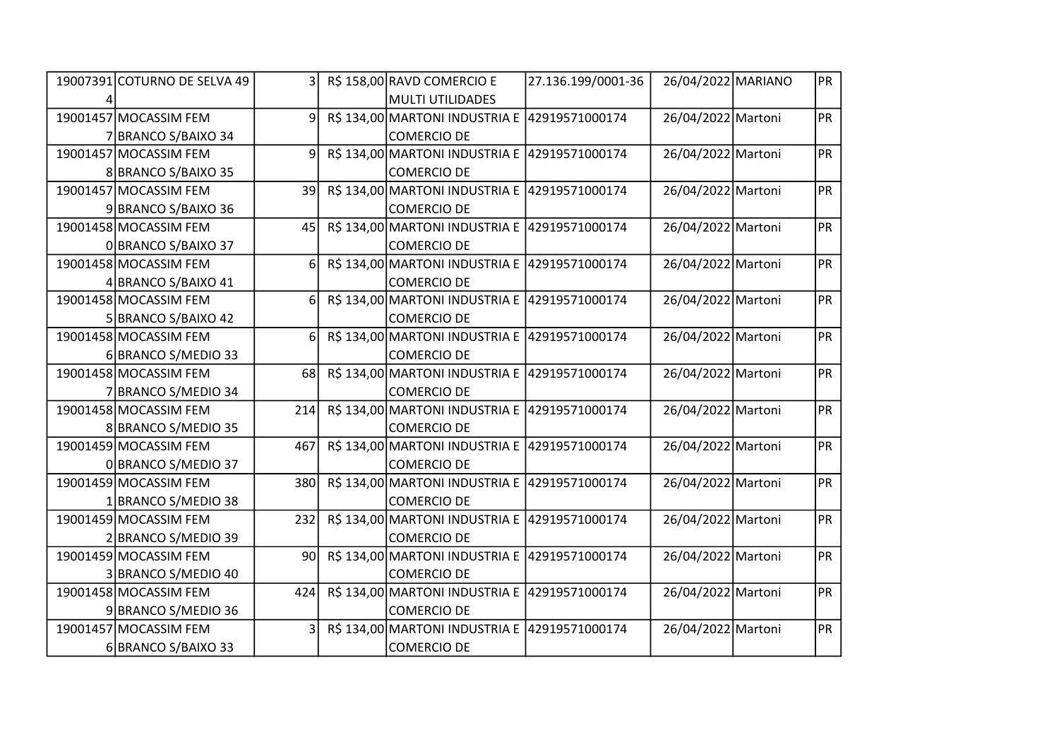| 19007391 COTURNO DE SELVA 49 | 3 <sup>1</sup>  | R\$ 158,00 RAVD COMERCIO E                    | 27.136.199/0001-36 | 26/04/2022 MARIANO | PR        |
|------------------------------|-----------------|-----------------------------------------------|--------------------|--------------------|-----------|
|                              |                 | MULTI UTILIDADES                              |                    |                    |           |
| 19001457 MOCASSIM FEM        | $\overline{9}$  | R\$ 134,00 MARTONI INDUSTRIA E 42919571000174 |                    | 26/04/2022 Martoni | PR        |
| 7 BRANCO S/BAIXO 34          |                 | <b>COMERCIO DE</b>                            |                    |                    |           |
| 19001457 MOCASSIM FEM        | $\overline{9}$  | R\$ 134,00 MARTONI INDUSTRIA E 42919571000174 |                    | 26/04/2022 Martoni | PR        |
| 8 BRANCO S/BAIXO 35          |                 | <b>COMERCIO DE</b>                            |                    |                    |           |
| 19001457 MOCASSIM FEM        | 39              | R\$ 134,00 MARTONI INDUSTRIA E 42919571000174 |                    | 26/04/2022 Martoni | PR        |
| 9 BRANCO S/BAIXO 36          |                 | COMERCIO DE                                   |                    |                    |           |
| 19001458 MOCASSIM FEM        | 45              | R\$ 134,00 MARTONI INDUSTRIA E 42919571000174 |                    | 26/04/2022 Martoni | PR        |
| 0 BRANCO S/BAIXO 37          |                 | <b>COMERCIO DE</b>                            |                    |                    |           |
| 19001458 MOCASSIM FEM        | 6 <sup>1</sup>  | R\$ 134,00 MARTONI INDUSTRIA E 42919571000174 |                    | 26/04/2022 Martoni | <b>PR</b> |
| 4 BRANCO S/BAIXO 41          |                 | <b>COMERCIO DE</b>                            |                    |                    |           |
| 19001458 MOCASSIM FEM        | 6               | R\$ 134,00 MARTONI INDUSTRIA E 42919571000174 |                    | 26/04/2022 Martoni | <b>PR</b> |
| 5 BRANCO S/BAIXO 42          |                 | COMERCIO DE                                   |                    |                    |           |
| 19001458 MOCASSIM FEM        | 6               | R\$ 134,00 MARTONI INDUSTRIA E 42919571000174 |                    | 26/04/2022 Martoni | PR        |
| 6 BRANCO S/MEDIO 33          |                 | <b>COMERCIO DE</b>                            |                    |                    |           |
| 19001458 MOCASSIM FEM        | 68              | R\$ 134,00 MARTONI INDUSTRIA E 42919571000174 |                    | 26/04/2022 Martoni | <b>PR</b> |
| 7 BRANCO S/MEDIO 34          |                 | <b>COMERCIO DE</b>                            |                    |                    |           |
| 19001458 MOCASSIM FEM        | 214             | R\$ 134,00 MARTONI INDUSTRIA E 42919571000174 |                    | 26/04/2022 Martoni | <b>PR</b> |
| 8 BRANCO S/MEDIO 35          |                 | COMERCIO DE                                   |                    |                    |           |
| 19001459 MOCASSIM FEM        | 467             | R\$ 134,00 MARTONI INDUSTRIA E 42919571000174 |                    | 26/04/2022 Martoni | <b>PR</b> |
| 0 BRANCO S/MEDIO 37          |                 | <b>COMERCIO DE</b>                            |                    |                    |           |
| 19001459 MOCASSIM FEM        | 380             | R\$ 134,00 MARTONI INDUSTRIA E 42919571000174 |                    | 26/04/2022 Martoni | <b>PR</b> |
| 1 BRANCO S/MEDIO 38          |                 | <b>COMERCIO DE</b>                            |                    |                    |           |
| 19001459 MOCASSIM FEM        | 232             | R\$ 134,00 MARTONI INDUSTRIA E 42919571000174 |                    | 26/04/2022 Martoni | <b>PR</b> |
| 2 BRANCO S/MEDIO 39          |                 | <b>COMERCIO DE</b>                            |                    |                    |           |
| 19001459 MOCASSIM FEM        | 90 <sub>l</sub> | R\$ 134,00 MARTONI INDUSTRIA E 42919571000174 |                    | 26/04/2022 Martoni | PR        |
| 3 BRANCO S/MEDIO 40          |                 | <b>COMERCIO DE</b>                            |                    |                    |           |
| 19001458 MOCASSIM FEM        | 424             | R\$ 134,00 MARTONI INDUSTRIA E 42919571000174 |                    | 26/04/2022 Martoni | <b>PR</b> |
| 9 BRANCO S/MEDIO 36          |                 | <b>COMERCIO DE</b>                            |                    |                    |           |
| 19001457 MOCASSIM FEM        | 3               | R\$ 134,00 MARTONI INDUSTRIA E 42919571000174 |                    | 26/04/2022 Martoni | PR        |
| 6 BRANCO S/BAIXO 33          |                 | <b>COMERCIO DE</b>                            |                    |                    |           |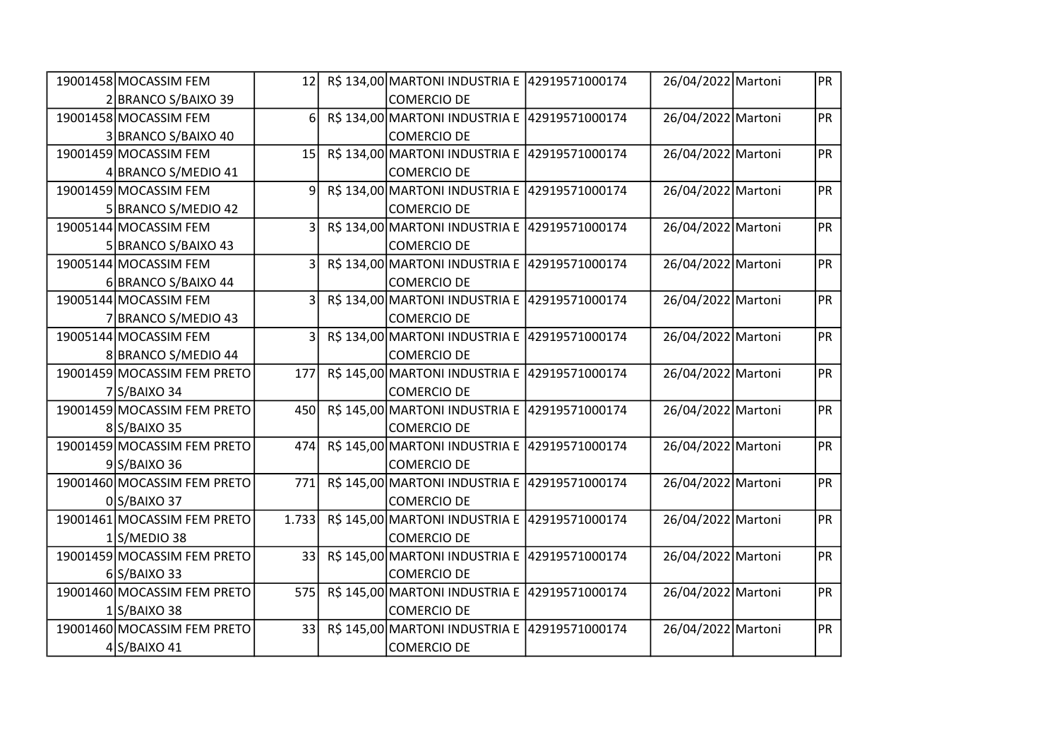| 19001458 MOCASSIM FEM       | 12              | R\$ 134,00 MARTONI INDUSTRIA E 42919571000174 |                | 26/04/2022 Martoni | PR        |
|-----------------------------|-----------------|-----------------------------------------------|----------------|--------------------|-----------|
| 2 BRANCO S/BAIXO 39         |                 | COMERCIO DE                                   |                |                    |           |
| 19001458 MOCASSIM FEM       | 6 <sup>1</sup>  | R\$ 134,00 MARTONI INDUSTRIA E 42919571000174 |                | 26/04/2022 Martoni | <b>PR</b> |
| 3 BRANCO S/BAIXO 40         |                 | <b>COMERCIO DE</b>                            |                |                    |           |
| 19001459 MOCASSIM FEM       | 15 <sup>1</sup> | R\$ 134,00 MARTONI INDUSTRIA E 42919571000174 |                | 26/04/2022 Martoni | <b>PR</b> |
| 4 BRANCO S/MEDIO 41         |                 | <b>COMERCIO DE</b>                            |                |                    |           |
| 19001459 MOCASSIM FEM       | 9               | R\$ 134,00 MARTONI INDUSTRIA E 42919571000174 |                | 26/04/2022 Martoni | PR        |
| 5 BRANCO S/MEDIO 42         |                 | COMERCIO DE                                   |                |                    |           |
| 19005144 MOCASSIM FEM       | 3               | R\$ 134,00 MARTONI INDUSTRIA E                | 42919571000174 | 26/04/2022 Martoni | <b>PR</b> |
| 5 BRANCO S/BAIXO 43         |                 | <b>COMERCIO DE</b>                            |                |                    |           |
| 19005144 MOCASSIM FEM       | $\overline{3}$  | R\$ 134,00 MARTONI INDUSTRIA E                | 42919571000174 | 26/04/2022 Martoni | PR        |
| 6 BRANCO S/BAIXO 44         |                 | <b>COMERCIO DE</b>                            |                |                    |           |
| 19005144 MOCASSIM FEM       | 3               | R\$ 134,00 MARTONI INDUSTRIA E 42919571000174 |                | 26/04/2022 Martoni | PR        |
| 7 BRANCO S/MEDIO 43         |                 | <b>COMERCIO DE</b>                            |                |                    |           |
| 19005144 MOCASSIM FEM       | 3               | R\$ 134,00 MARTONI INDUSTRIA E 42919571000174 |                | 26/04/2022 Martoni | PR        |
| 8 BRANCO S/MEDIO 44         |                 | <b>COMERCIO DE</b>                            |                |                    |           |
| 19001459 MOCASSIM FEM PRETO | 177             | R\$ 145,00 MARTONI INDUSTRIA E                | 42919571000174 | 26/04/2022 Martoni | PR        |
| $7$ S/BAIXO 34              |                 | <b>COMERCIO DE</b>                            |                |                    |           |
| 19001459 MOCASSIM FEM PRETO | 450             | R\$ 145,00 MARTONI INDUSTRIA E 42919571000174 |                | 26/04/2022 Martoni | PR        |
| 8S/BAIXO 35                 |                 | <b>COMERCIO DE</b>                            |                |                    |           |
| 19001459 MOCASSIM FEM PRETO | 474             | R\$ 145,00 MARTONI INDUSTRIA E 42919571000174 |                | 26/04/2022 Martoni | PR        |
| $9$ S/BAIXO 36              |                 | <b>COMERCIO DE</b>                            |                |                    |           |
| 19001460 MOCASSIM FEM PRETO | 771             | R\$ 145,00 MARTONI INDUSTRIA E                | 42919571000174 | 26/04/2022 Martoni | <b>PR</b> |
| 0S/BAIXO 37                 |                 | <b>COMERCIO DE</b>                            |                |                    |           |
| 19001461 MOCASSIM FEM PRETO | 1.733           | R\$ 145,00 MARTONI INDUSTRIA E 42919571000174 |                | 26/04/2022 Martoni | <b>PR</b> |
| $1$ S/MEDIO 38              |                 | <b>COMERCIO DE</b>                            |                |                    |           |
| 19001459 MOCASSIM FEM PRETO | 33              | R\$ 145,00 MARTONI INDUSTRIA E                | 42919571000174 | 26/04/2022 Martoni | PR        |
| $6$ S/BAIXO 33              |                 | <b>COMERCIO DE</b>                            |                |                    |           |
| 19001460 MOCASSIM FEM PRETO | 575             | R\$ 145,00 MARTONI INDUSTRIA E                | 42919571000174 | 26/04/2022 Martoni | PR        |
| $1$ S/BAIXO 38              |                 | <b>COMERCIO DE</b>                            |                |                    |           |
| 19001460 MOCASSIM FEM PRETO | 33              | R\$ 145,00 MARTONI INDUSTRIA E 42919571000174 |                | 26/04/2022 Martoni | PR        |
| $4$ S/BAIXO 41              |                 | <b>COMERCIO DE</b>                            |                |                    |           |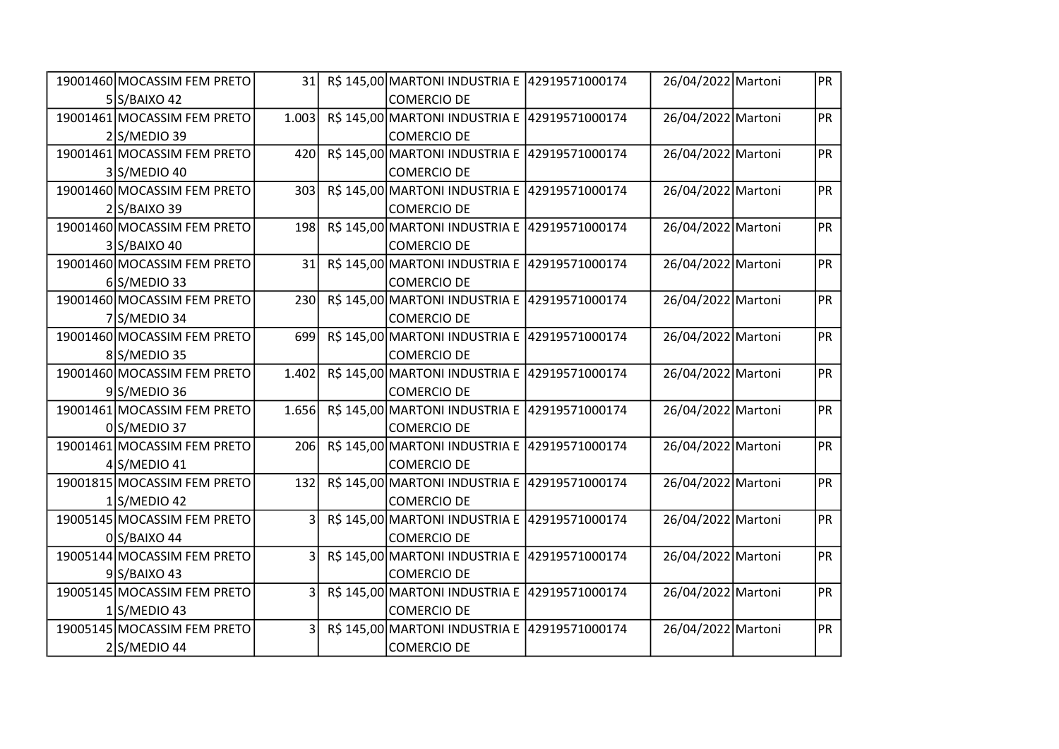| 19001460 MOCASSIM FEM PRETO | 31                      | R\$ 145,00 MARTONI INDUSTRIA E 42919571000174 |                | 26/04/2022 Martoni | PR        |
|-----------------------------|-------------------------|-----------------------------------------------|----------------|--------------------|-----------|
| 5 S/BAIXO 42                |                         | COMERCIO DE                                   |                |                    |           |
| 19001461 MOCASSIM FEM PRETO | 1.003                   | R\$ 145,00 MARTONI INDUSTRIA E 42919571000174 |                | 26/04/2022 Martoni | <b>PR</b> |
| $2$ S/MEDIO 39              |                         | <b>COMERCIO DE</b>                            |                |                    |           |
| 19001461 MOCASSIM FEM PRETO | 420                     | R\$ 145,00 MARTONI INDUSTRIA E 42919571000174 |                | 26/04/2022 Martoni | <b>PR</b> |
| 3S/MEDIO 40                 |                         | <b>COMERCIO DE</b>                            |                |                    |           |
| 19001460 MOCASSIM FEM PRETO | 303                     | R\$ 145,00 MARTONI INDUSTRIA E 42919571000174 |                | 26/04/2022 Martoni | <b>PR</b> |
| $2$ S/BAIXO 39              |                         | <b>COMERCIO DE</b>                            |                |                    |           |
| 19001460 MOCASSIM FEM PRETO | 198                     | R\$ 145,00 MARTONI INDUSTRIA E                | 42919571000174 | 26/04/2022 Martoni | <b>PR</b> |
| 3 S/BAIXO 40                |                         | <b>COMERCIO DE</b>                            |                |                    |           |
| 19001460 MOCASSIM FEM PRETO | 31                      | R\$ 145,00 MARTONI INDUSTRIA E                | 42919571000174 | 26/04/2022 Martoni | PR        |
| $6$ S/MEDIO 33              |                         | <b>COMERCIO DE</b>                            |                |                    |           |
| 19001460 MOCASSIM FEM PRETO | 230                     | R\$ 145,00 MARTONI INDUSTRIA E 42919571000174 |                | 26/04/2022 Martoni | PR        |
| $7$ S/MEDIO 34              |                         | <b>COMERCIO DE</b>                            |                |                    |           |
| 19001460 MOCASSIM FEM PRETO | 699                     | R\$ 145,00 MARTONI INDUSTRIA E 42919571000174 |                | 26/04/2022 Martoni | PR        |
| 8S/MEDIO 35                 |                         | <b>COMERCIO DE</b>                            |                |                    |           |
| 19001460 MOCASSIM FEM PRETO | 1.402                   | R\$ 145,00 MARTONI INDUSTRIA E                | 42919571000174 | 26/04/2022 Martoni | PR        |
| $9$ S/MEDIO 36              |                         | <b>COMERCIO DE</b>                            |                |                    |           |
| 19001461 MOCASSIM FEM PRETO | 1.656                   | R\$ 145,00 MARTONI INDUSTRIA E 42919571000174 |                | 26/04/2022 Martoni | PR        |
| 0S/MEDIO 37                 |                         | <b>COMERCIO DE</b>                            |                |                    |           |
| 19001461 MOCASSIM FEM PRETO | 206                     | R\$ 145,00 MARTONI INDUSTRIA E 42919571000174 |                | 26/04/2022 Martoni | PR        |
| $4$ S/MEDIO 41              |                         | <b>COMERCIO DE</b>                            |                |                    |           |
| 19001815 MOCASSIM FEM PRETO | 132                     | R\$ 145,00 MARTONI INDUSTRIA E 42919571000174 |                | 26/04/2022 Martoni | PR        |
| $1$ S/MEDIO 42              |                         | <b>COMERCIO DE</b>                            |                |                    |           |
| 19005145 MOCASSIM FEM PRETO | $\overline{\mathbf{3}}$ | R\$ 145,00 MARTONI INDUSTRIA E 42919571000174 |                | 26/04/2022 Martoni | <b>PR</b> |
| 0S/BAIXO 44                 |                         | <b>COMERCIO DE</b>                            |                |                    |           |
| 19005144 MOCASSIM FEM PRETO | $\overline{3}$          | R\$ 145,00 MARTONI INDUSTRIA E                | 42919571000174 | 26/04/2022 Martoni | PR        |
| $9$ S/BAIXO 43              |                         | <b>COMERCIO DE</b>                            |                |                    |           |
| 19005145 MOCASSIM FEM PRETO | 31                      | R\$ 145,00 MARTONI INDUSTRIA E                | 42919571000174 | 26/04/2022 Martoni | PR        |
| $1$ S/MEDIO 43              |                         | <b>COMERCIO DE</b>                            |                |                    |           |
| 19005145 MOCASSIM FEM PRETO | 3                       | R\$ 145,00 MARTONI INDUSTRIA E 42919571000174 |                | 26/04/2022 Martoni | PR        |
| $2$ S/MEDIO 44              |                         | <b>COMERCIO DE</b>                            |                |                    |           |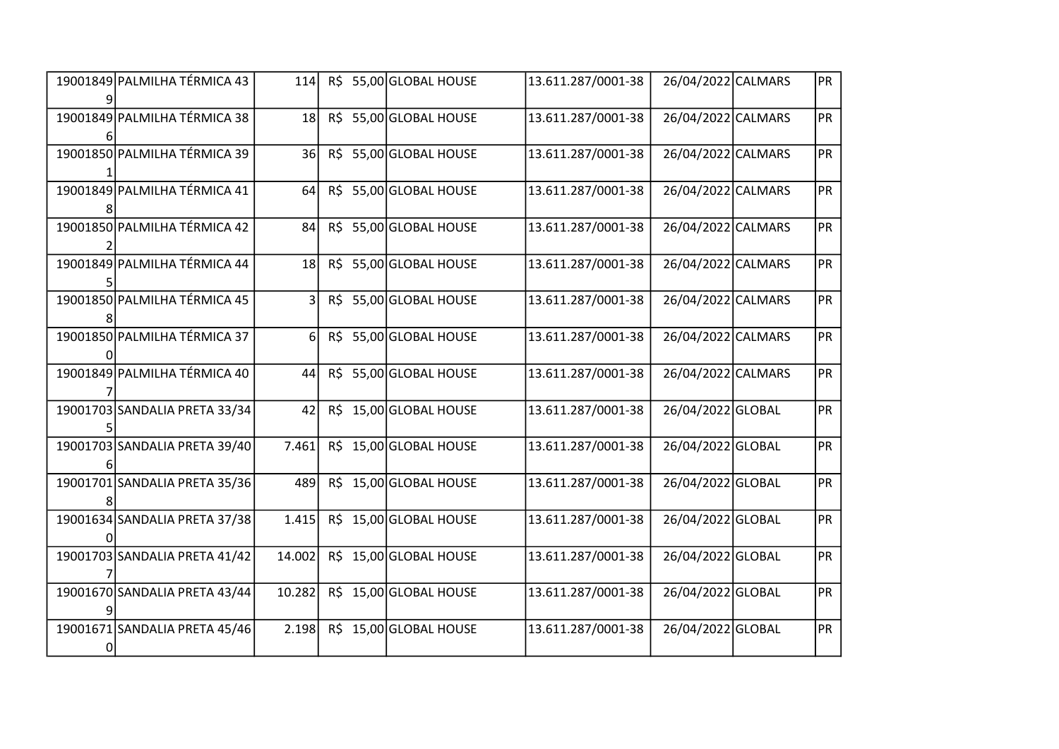| 19001849 PALMILHA TÉRMICA 43  | 114            |     | R\$ 55,00 GLOBAL HOUSE | 13.611.287/0001-38 | 26/04/2022 CALMARS | PR |
|-------------------------------|----------------|-----|------------------------|--------------------|--------------------|----|
| 19001849 PALMILHA TÉRMICA 38  | 18             |     | R\$ 55,00 GLOBAL HOUSE | 13.611.287/0001-38 | 26/04/2022 CALMARS | PR |
| 19001850 PALMILHA TÉRMICA 39  | 36             | R\$ | 55,00 GLOBAL HOUSE     | 13.611.287/0001-38 | 26/04/2022 CALMARS | PR |
| 19001849 PALMILHA TÉRMICA 41  | 64             |     | R\$ 55,00 GLOBAL HOUSE | 13.611.287/0001-38 | 26/04/2022 CALMARS | PR |
| 19001850 PALMILHA TÉRMICA 42  | 84             | R\$ | 55,00 GLOBAL HOUSE     | 13.611.287/0001-38 | 26/04/2022 CALMARS | PR |
| 19001849 PALMILHA TÉRMICA 44  | 18             | R\$ | 55,00 GLOBAL HOUSE     | 13.611.287/0001-38 | 26/04/2022 CALMARS | PR |
| 19001850 PALMILHA TÉRMICA 45  | 3 <sup>1</sup> | R\$ | 55,00 GLOBAL HOUSE     | 13.611.287/0001-38 | 26/04/2022 CALMARS | PR |
| 19001850 PALMILHA TÉRMICA 37  | 6 <sup>1</sup> | R\$ | 55,00 GLOBAL HOUSE     | 13.611.287/0001-38 | 26/04/2022 CALMARS | PR |
| 19001849 PALMILHA TÉRMICA 40  | 44             | R\$ | 55,00 GLOBAL HOUSE     | 13.611.287/0001-38 | 26/04/2022 CALMARS | PR |
| 19001703 SANDALIA PRETA 33/34 | 42             | R\$ | 15,00 GLOBAL HOUSE     | 13.611.287/0001-38 | 26/04/2022 GLOBAL  | PR |
| 19001703 SANDALIA PRETA 39/40 | 7.461          | R\$ | 15,00 GLOBAL HOUSE     | 13.611.287/0001-38 | 26/04/2022 GLOBAL  | PR |
| 19001701 SANDALIA PRETA 35/36 | 489            | R\$ | 15,00 GLOBAL HOUSE     | 13.611.287/0001-38 | 26/04/2022 GLOBAL  | PR |
| 19001634 SANDALIA PRETA 37/38 | 1.415          |     | R\$ 15,00 GLOBAL HOUSE | 13.611.287/0001-38 | 26/04/2022 GLOBAL  | PR |
| 19001703 SANDALIA PRETA 41/42 | 14.002         | R\$ | 15,00 GLOBAL HOUSE     | 13.611.287/0001-38 | 26/04/2022 GLOBAL  | PR |
| 19001670 SANDALIA PRETA 43/44 | 10.282         | R\$ | 15,00 GLOBAL HOUSE     | 13.611.287/0001-38 | 26/04/2022 GLOBAL  | PR |
| 19001671 SANDALIA PRETA 45/46 | 2.198          |     | R\$ 15,00 GLOBAL HOUSE | 13.611.287/0001-38 | 26/04/2022 GLOBAL  | PR |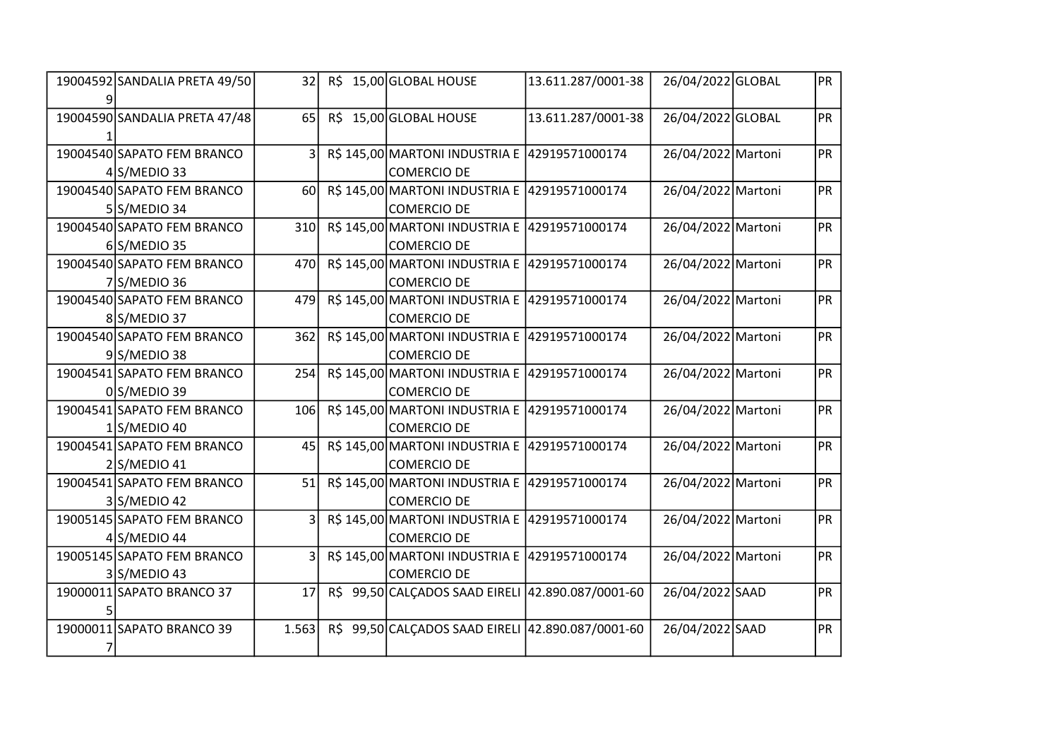| 19004592 SANDALIA PRETA 49/50 | 32           | R\$ 15,00 GLOBAL HOUSE                            | 13.611.287/0001-38 | 26/04/2022 GLOBAL  | PR        |
|-------------------------------|--------------|---------------------------------------------------|--------------------|--------------------|-----------|
|                               |              |                                                   |                    |                    |           |
| 19004590 SANDALIA PRETA 47/48 | 65           | R\$ 15,00 GLOBAL HOUSE                            | 13.611.287/0001-38 | 26/04/2022 GLOBAL  | PR        |
|                               |              |                                                   |                    |                    |           |
| 19004540 SAPATO FEM BRANCO    | 3            | R\$ 145,00 MARTONI INDUSTRIA E 42919571000174     |                    | 26/04/2022 Martoni | <b>PR</b> |
| $4$ S/MEDIO 33                |              | <b>COMERCIO DE</b>                                |                    |                    |           |
| 19004540 SAPATO FEM BRANCO    | 60           | R\$ 145,00 MARTONI INDUSTRIA E 42919571000174     |                    | 26/04/2022 Martoni | PR        |
| $5 S/MEDIO$ 34                |              | COMERCIO DE                                       |                    |                    |           |
| 19004540 SAPATO FEM BRANCO    | 310          | R\$ 145,00 MARTONI INDUSTRIA E                    | 42919571000174     | 26/04/2022 Martoni | PR        |
| 6S/MEDIO 35                   |              | <b>COMERCIO DE</b>                                |                    |                    |           |
| 19004540 SAPATO FEM BRANCO    | 470          | R\$ 145,00 MARTONI INDUSTRIA E                    | 42919571000174     | 26/04/2022 Martoni | <b>PR</b> |
| 7S/MEDIO 36                   |              | <b>COMERCIO DE</b>                                |                    |                    |           |
| 19004540 SAPATO FEM BRANCO    | 479          | R\$ 145,00 MARTONI INDUSTRIA E 42919571000174     |                    | 26/04/2022 Martoni | <b>PR</b> |
| 8S/MEDIO 37                   |              | <b>COMERCIO DE</b>                                |                    |                    |           |
| 19004540 SAPATO FEM BRANCO    | 362          | R\$ 145,00 MARTONI INDUSTRIA E                    | 42919571000174     | 26/04/2022 Martoni | <b>PR</b> |
| $9 S/MEDIO$ 38                |              | <b>COMERCIO DE</b>                                |                    |                    |           |
| 19004541 SAPATO FEM BRANCO    | 254          | R\$ 145,00 MARTONI INDUSTRIA E                    | 42919571000174     | 26/04/2022 Martoni | PR        |
| $0 S/MEDIO$ 39                |              | <b>COMERCIO DE</b>                                |                    |                    |           |
| 19004541 SAPATO FEM BRANCO    | 106          | R\$ 145,00 MARTONI INDUSTRIA E 42919571000174     |                    | 26/04/2022 Martoni | <b>PR</b> |
| $1$ S/MEDIO 40                |              | <b>COMERCIO DE</b>                                |                    |                    |           |
| 19004541 SAPATO FEM BRANCO    | 45           | R\$ 145,00 MARTONI INDUSTRIA E 42919571000174     |                    | 26/04/2022 Martoni | PR        |
| 2 S/MEDIO 41                  |              | <b>COMERCIO DE</b>                                |                    |                    |           |
| 19004541 SAPATO FEM BRANCO    | 51           | R\$ 145,00 MARTONI INDUSTRIA E                    | 42919571000174     | 26/04/2022 Martoni | <b>PR</b> |
| 3 S/MEDIO 42                  |              | <b>COMERCIO DE</b>                                |                    |                    |           |
| 19005145 SAPATO FEM BRANCO    | $\mathsf{3}$ | R\$ 145,00 MARTONI INDUSTRIA E 42919571000174     |                    | 26/04/2022 Martoni | <b>PR</b> |
| $4$ S/MEDIO 44                |              | <b>COMERCIO DE</b>                                |                    |                    |           |
| 19005145 SAPATO FEM BRANCO    | 3            | R\$ 145,00 MARTONI INDUSTRIA E                    | 42919571000174     | 26/04/2022 Martoni | PR        |
| $3$ S/MEDIO 43                |              | <b>COMERCIO DE</b>                                |                    |                    |           |
| 19000011 SAPATO BRANCO 37     | 17           | R\$ 99,50 CALÇADOS SAAD EIRELI                    | 42.890.087/0001-60 | 26/04/2022 SAAD    | <b>PR</b> |
|                               |              |                                                   |                    |                    |           |
| 19000011 SAPATO BRANCO 39     | 1.563        | R\$ 99,50 CALCADOS SAAD EIRELI 42.890.087/0001-60 |                    | 26/04/2022 SAAD    | PR        |
|                               |              |                                                   |                    |                    |           |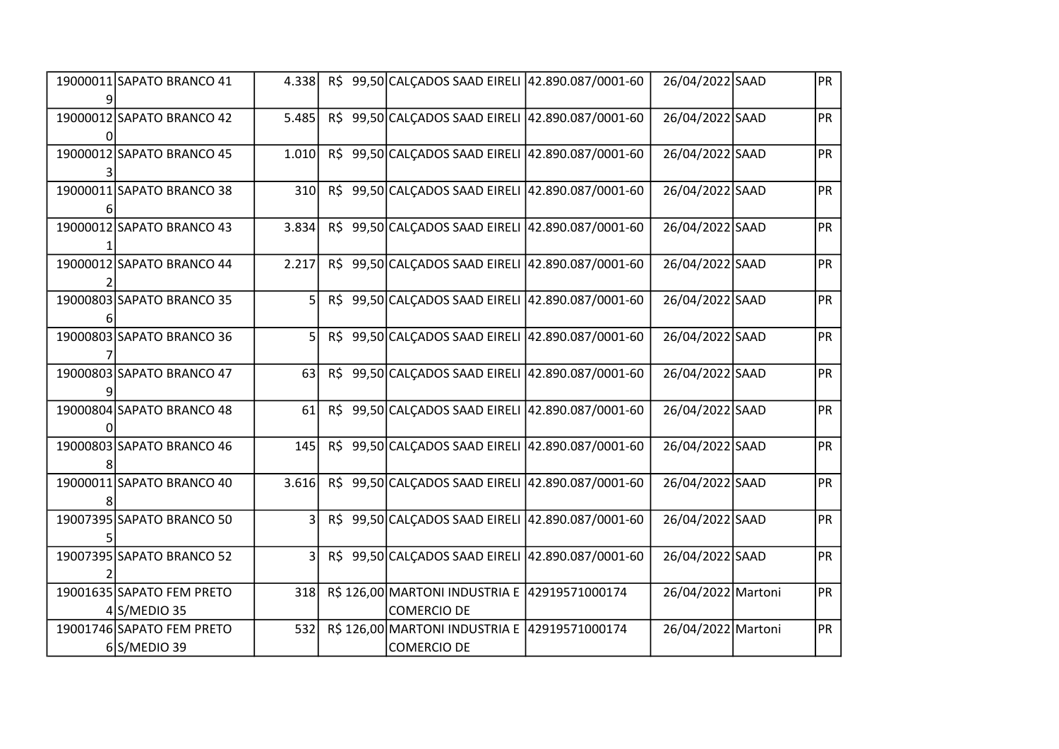| 19000011 SAPATO BRANCO 41 | 4.338 | R\$ 99,50 CALCADOS SAAD EIRELI 42.890.087/0001-60 | 26/04/2022 SAAD    | <b>PR</b> |
|---------------------------|-------|---------------------------------------------------|--------------------|-----------|
| 19000012 SAPATO BRANCO 42 | 5.485 | R\$ 99,50 CALCADOS SAAD EIRELI 42.890.087/0001-60 | 26/04/2022 SAAD    | PR        |
|                           |       |                                                   |                    |           |
| 19000012 SAPATO BRANCO 45 | 1.010 | R\$ 99,50 CALCADOS SAAD EIRELI 42.890.087/0001-60 | 26/04/2022 SAAD    | PR        |
|                           |       |                                                   |                    |           |
| 19000011 SAPATO BRANCO 38 | 310   | R\$ 99,50 CALCADOS SAAD EIRELI 42.890.087/0001-60 | 26/04/2022 SAAD    | PR        |
|                           |       |                                                   |                    |           |
| 19000012 SAPATO BRANCO 43 | 3.834 | R\$ 99,50 CALÇADOS SAAD EIRELI 42.890.087/0001-60 | 26/04/2022 SAAD    | <b>PR</b> |
|                           |       |                                                   |                    |           |
| 19000012 SAPATO BRANCO 44 | 2.217 | R\$ 99,50 CALCADOS SAAD EIRELI 42.890.087/0001-60 | 26/04/2022 SAAD    | <b>PR</b> |
|                           |       |                                                   |                    |           |
| 19000803 SAPATO BRANCO 35 | 51    | R\$ 99,50 CALCADOS SAAD EIRELI 42.890.087/0001-60 | 26/04/2022 SAAD    | <b>PR</b> |
|                           |       |                                                   |                    |           |
| 19000803 SAPATO BRANCO 36 | 5     | R\$ 99,50 CALCADOS SAAD EIRELI 42.890.087/0001-60 | 26/04/2022 SAAD    | <b>PR</b> |
|                           |       |                                                   |                    |           |
| 19000803 SAPATO BRANCO 47 | 63    | R\$ 99,50 CALCADOS SAAD EIRELI 42.890.087/0001-60 | 26/04/2022 SAAD    | <b>PR</b> |
|                           |       |                                                   |                    |           |
| 19000804 SAPATO BRANCO 48 | 61    | R\$ 99,50 CALCADOS SAAD EIRELI 42.890.087/0001-60 | 26/04/2022 SAAD    | <b>PR</b> |
|                           |       |                                                   |                    |           |
| 19000803 SAPATO BRANCO 46 | 145   | R\$ 99,50 CALCADOS SAAD EIRELI 42.890.087/0001-60 | 26/04/2022 SAAD    | <b>PR</b> |
|                           |       |                                                   |                    |           |
| 19000011 SAPATO BRANCO 40 | 3.616 | R\$ 99,50 CALCADOS SAAD EIRELI 42.890.087/0001-60 | 26/04/2022 SAAD    | PR        |
|                           |       |                                                   |                    |           |
| 19007395 SAPATO BRANCO 50 | 3     | R\$ 99,50 CALCADOS SAAD EIRELI 42.890.087/0001-60 | 26/04/2022 SAAD    | <b>PR</b> |
|                           |       |                                                   |                    |           |
| 19007395 SAPATO BRANCO 52 | 3     | R\$ 99,50 CALCADOS SAAD EIRELI 42.890.087/0001-60 | 26/04/2022 SAAD    | PR        |
|                           |       |                                                   |                    |           |
| 19001635 SAPATO FEM PRETO | 318   | R\$ 126,00 MARTONI INDUSTRIA E 42919571000174     | 26/04/2022 Martoni | PR        |
| $4$ S/MEDIO 35            |       | <b>COMERCIO DE</b>                                |                    |           |
| 19001746 SAPATO FEM PRETO | 532   | R\$ 126,00 MARTONI INDUSTRIA E 42919571000174     | 26/04/2022 Martoni | PR        |
| $6$ S/MEDIO 39            |       | <b>COMERCIO DE</b>                                |                    |           |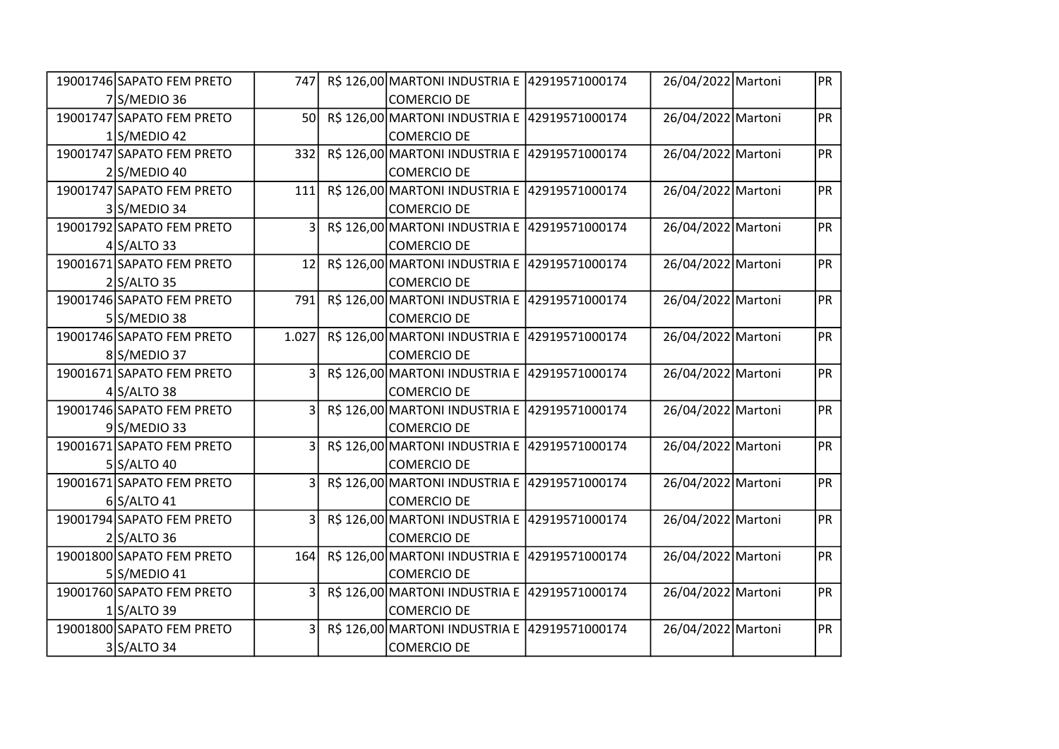| 19001746 SAPATO FEM PRETO | 747                     | R\$ 126,00 MARTONI INDUSTRIA E 42919571000174 | 26/04/2022 Martoni | PR        |
|---------------------------|-------------------------|-----------------------------------------------|--------------------|-----------|
| 7S/MEDIO 36               |                         | COMERCIO DE                                   |                    |           |
| 19001747 SAPATO FEM PRETO | 50 <sup>1</sup>         | R\$ 126,00 MARTONI INDUSTRIA E 42919571000174 | 26/04/2022 Martoni | <b>PR</b> |
| $1\sqrt{\text{MEDIO}}$ 42 |                         | <b>COMERCIO DE</b>                            |                    |           |
| 19001747 SAPATO FEM PRETO | 332                     | R\$ 126,00 MARTONI INDUSTRIA E 42919571000174 | 26/04/2022 Martoni | <b>PR</b> |
| $2$ S/MEDIO 40            |                         | <b>COMERCIO DE</b>                            |                    |           |
| 19001747 SAPATO FEM PRETO | 111                     | R\$ 126,00 MARTONI INDUSTRIA E 42919571000174 | 26/04/2022 Martoni | <b>PR</b> |
| 3S/MEDIO 34               |                         | COMERCIO DE                                   |                    |           |
| 19001792 SAPATO FEM PRETO | 3                       | R\$ 126,00 MARTONI INDUSTRIA E 42919571000174 | 26/04/2022 Martoni | <b>PR</b> |
| $4$ S/ALTO 33             |                         | <b>COMERCIO DE</b>                            |                    |           |
| 19001671 SAPATO FEM PRETO | 12                      | R\$ 126,00 MARTONI INDUSTRIA E 42919571000174 | 26/04/2022 Martoni | <b>PR</b> |
| $2$ S/ALTO 35             |                         | <b>COMERCIO DE</b>                            |                    |           |
| 19001746 SAPATO FEM PRETO | 791                     | R\$ 126,00 MARTONI INDUSTRIA E 42919571000174 | 26/04/2022 Martoni | <b>PR</b> |
| $5 S/MEDIO$ 38            |                         | COMERCIO DE                                   |                    |           |
| 19001746 SAPATO FEM PRETO | 1.027                   | R\$ 126,00 MARTONI INDUSTRIA E 42919571000174 | 26/04/2022 Martoni | PR        |
| 8S/MEDIO 37               |                         | <b>COMERCIO DE</b>                            |                    |           |
| 19001671 SAPATO FEM PRETO | 3 <sup>1</sup>          | R\$ 126,00 MARTONI INDUSTRIA E 42919571000174 | 26/04/2022 Martoni | PR        |
| $4$ S/ALTO 38             |                         | <b>COMERCIO DE</b>                            |                    |           |
| 19001746 SAPATO FEM PRETO | 3                       | R\$ 126,00 MARTONI INDUSTRIA E 42919571000174 | 26/04/2022 Martoni | <b>PR</b> |
| $9$ S/MEDIO 33            |                         | COMERCIO DE                                   |                    |           |
| 19001671 SAPATO FEM PRETO | $\overline{3}$          | R\$ 126,00 MARTONI INDUSTRIA E 42919571000174 | 26/04/2022 Martoni | PR        |
| $5$ S/ALTO 40             |                         | <b>COMERCIO DE</b>                            |                    |           |
| 19001671 SAPATO FEM PRETO | 31                      | R\$ 126,00 MARTONI INDUSTRIA E 42919571000174 | 26/04/2022 Martoni | PR        |
| $6$ S/ALTO 41             |                         | <b>COMERCIO DE</b>                            |                    |           |
| 19001794 SAPATO FEM PRETO | $\overline{\mathbf{3}}$ | R\$ 126,00 MARTONI INDUSTRIA E 42919571000174 | 26/04/2022 Martoni | <b>PR</b> |
| $2$ S/ALTO 36             |                         | COMERCIO DE                                   |                    |           |
| 19001800 SAPATO FEM PRETO | 164                     | R\$ 126,00 MARTONI INDUSTRIA E 42919571000174 | 26/04/2022 Martoni | PR        |
| $5 S/MEDIO$ 41            |                         | <b>COMERCIO DE</b>                            |                    |           |
| 19001760 SAPATO FEM PRETO | 3 <sup>1</sup>          | R\$ 126,00 MARTONI INDUSTRIA E 42919571000174 | 26/04/2022 Martoni | <b>PR</b> |
| $1$ S/ALTO 39             |                         | <b>COMERCIO DE</b>                            |                    |           |
| 19001800 SAPATO FEM PRETO | 3 <sup>1</sup>          | R\$ 126,00 MARTONI INDUSTRIA E 42919571000174 | 26/04/2022 Martoni | PR        |
| 3 S/ALTO 34               |                         | COMERCIO DE                                   |                    |           |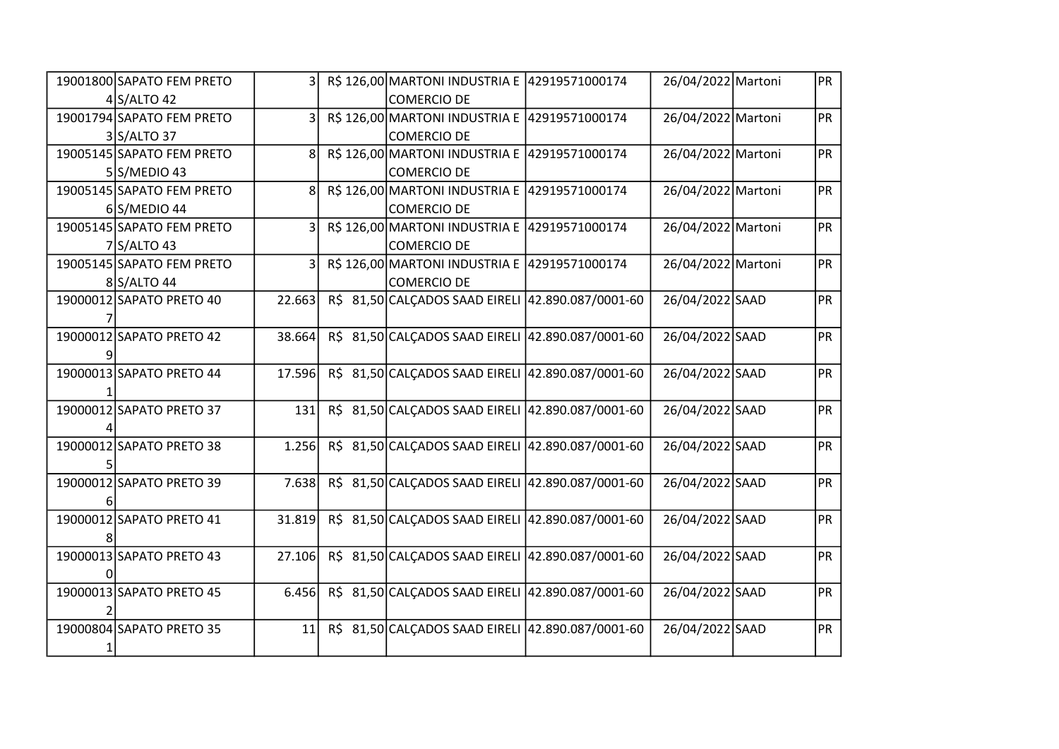| 19001800 SAPATO FEM PRETO | 3 I            |  | R\$ 126,00 MARTONI INDUSTRIA E 42919571000174     |                    | 26/04/2022 Martoni | PR        |
|---------------------------|----------------|--|---------------------------------------------------|--------------------|--------------------|-----------|
| $4$ S/ALTO 42             |                |  | COMERCIO DE                                       |                    |                    |           |
| 19001794 SAPATO FEM PRETO | 31             |  | R\$ 126,00 MARTONI INDUSTRIA E 42919571000174     |                    | 26/04/2022 Martoni | <b>PR</b> |
| 3 S/ALTO 37               |                |  | <b>COMERCIO DE</b>                                |                    |                    |           |
| 19005145 SAPATO FEM PRETO | 8 <sup>1</sup> |  | R\$ 126,00 MARTONI INDUSTRIA E 42919571000174     |                    | 26/04/2022 Martoni | <b>PR</b> |
| $5 S/MEDIO$ 43            |                |  | <b>COMERCIO DE</b>                                |                    |                    |           |
| 19005145 SAPATO FEM PRETO | 8              |  | R\$ 126,00 MARTONI INDUSTRIA E 42919571000174     |                    | 26/04/2022 Martoni | <b>PR</b> |
| $6$ S/MEDIO 44            |                |  | COMERCIO DE                                       |                    |                    |           |
| 19005145 SAPATO FEM PRETO | 3              |  | R\$ 126,00 MARTONI INDUSTRIA E                    | 42919571000174     | 26/04/2022 Martoni | <b>PR</b> |
| $7$ S/ALTO 43             |                |  | <b>COMERCIO DE</b>                                |                    |                    |           |
| 19005145 SAPATO FEM PRETO | $\overline{3}$ |  | R\$ 126,00 MARTONI INDUSTRIA E                    | 42919571000174     | 26/04/2022 Martoni | PR        |
| 8 S/ALTO 44               |                |  | <b>COMERCIO DE</b>                                |                    |                    |           |
| 19000012 SAPATO PRETO 40  | 22.663         |  | R\$ 81,50 CALCADOS SAAD EIRELI 42.890.087/0001-60 |                    | 26/04/2022 SAAD    | PR        |
|                           |                |  |                                                   |                    |                    |           |
| 19000012 SAPATO PRETO 42  | 38.664         |  | R\$ 81,50 CALCADOS SAAD EIRELI 42.890.087/0001-60 |                    | 26/04/2022 SAAD    | PR        |
|                           |                |  |                                                   |                    |                    |           |
| 19000013 SAPATO PRETO 44  | 17.596         |  | R\$ 81,50 CALCADOS SAAD EIRELI                    | 42.890.087/0001-60 | 26/04/2022 SAAD    | PR        |
|                           |                |  |                                                   |                    |                    |           |
| 19000012 SAPATO PRETO 37  | 131            |  | R\$ 81,50 CALCADOS SAAD EIRELI 42.890.087/0001-60 |                    | 26/04/2022 SAAD    | <b>PR</b> |
|                           |                |  |                                                   |                    |                    |           |
| 19000012 SAPATO PRETO 38  | 1.256          |  | R\$ 81,50 CALCADOS SAAD EIRELI 42.890.087/0001-60 |                    | 26/04/2022 SAAD    | PR        |
|                           |                |  |                                                   |                    |                    |           |
| 19000012 SAPATO PRETO 39  | 7.638          |  | R\$ 81,50 CALCADOS SAAD EIRELI                    | 42.890.087/0001-60 | 26/04/2022 SAAD    | PR        |
|                           |                |  |                                                   |                    |                    |           |
| 19000012 SAPATO PRETO 41  | 31.819         |  | R\$ 81,50 CALCADOS SAAD EIRELI 42.890.087/0001-60 |                    | 26/04/2022 SAAD    | PR        |
|                           |                |  |                                                   |                    |                    |           |
| 19000013 SAPATO PRETO 43  | 27.106         |  | R\$ 81,50 CALCADOS SAAD EIRELI 42.890.087/0001-60 |                    | 26/04/2022 SAAD    | PR        |
|                           |                |  |                                                   |                    |                    |           |
| 19000013 SAPATO PRETO 45  | 6.456          |  | R\$ 81,50 CALÇADOS SAAD EIRELI                    | 42.890.087/0001-60 | 26/04/2022 SAAD    | PR        |
|                           |                |  |                                                   |                    |                    |           |
| 19000804 SAPATO PRETO 35  | 11             |  | R\$ 81,50 CALCADOS SAAD EIRELI 42.890.087/0001-60 |                    | 26/04/2022 SAAD    | PR        |
|                           |                |  |                                                   |                    |                    |           |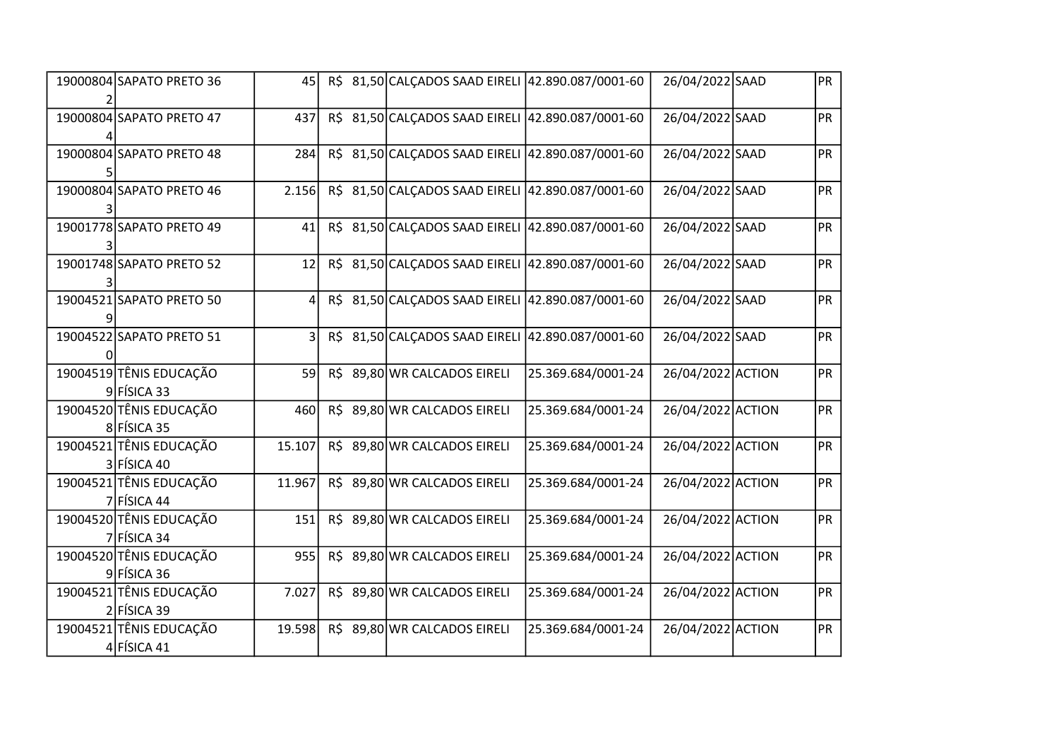| 19000804 SAPATO PRETO 36                 | 45             |     | R\$ 81,50 CALCADOS SAAD EIRELI 42.890.087/0001-60 |                    | 26/04/2022 SAAD   | <b>PR</b> |
|------------------------------------------|----------------|-----|---------------------------------------------------|--------------------|-------------------|-----------|
| 19000804 SAPATO PRETO 47                 | 437            |     | R\$ 81,50 CALCADOS SAAD EIRELI 42.890.087/0001-60 |                    | 26/04/2022 SAAD   | <b>PR</b> |
| 19000804 SAPATO PRETO 48                 | 284            |     | R\$ 81,50 CALCADOS SAAD EIRELI 42.890.087/0001-60 |                    | 26/04/2022 SAAD   | PR        |
| 19000804 SAPATO PRETO 46                 | 2.156          |     | R\$ 81,50 CALCADOS SAAD EIRELI 42.890.087/0001-60 |                    | 26/04/2022 SAAD   | <b>PR</b> |
| 19001778 SAPATO PRETO 49                 | 41             |     | R\$ 81,50 CALCADOS SAAD EIRELI 42.890.087/0001-60 |                    | 26/04/2022 SAAD   | <b>PR</b> |
| 19001748 SAPATO PRETO 52                 | 12             |     | R\$ 81,50 CALCADOS SAAD EIRELI 42.890.087/0001-60 |                    | 26/04/2022 SAAD   | PR        |
| 19004521 SAPATO PRETO 50                 | 4              |     | R\$ 81,50 CALCADOS SAAD EIRELI 42.890.087/0001-60 |                    | 26/04/2022 SAAD   | <b>PR</b> |
| 19004522 SAPATO PRETO 51                 | $\overline{3}$ | R\$ | 81,50 CALCADOS SAAD EIRELI 42.890.087/0001-60     |                    | 26/04/2022 SAAD   | PR        |
| 19004519 TÊNIS EDUCAÇÃO<br>$9$ FÍSICA 33 | 59             |     | R\$ 89,80 WR CALCADOS EIRELI                      | 25.369.684/0001-24 | 26/04/2022 ACTION | PR        |
| 19004520 TÊNIS EDUCAÇÃO<br>8 FÍSICA 35   | 460            |     | R\$ 89,80 WR CALCADOS EIRELI                      | 25.369.684/0001-24 | 26/04/2022 ACTION | <b>PR</b> |
| 19004521 TÊNIS EDUCAÇÃO<br>3 FÍSICA 40   | 15.107         |     | R\$ 89,80 WR CALCADOS EIRELI                      | 25.369.684/0001-24 | 26/04/2022 ACTION | PR        |
| 19004521 TÊNIS EDUCAÇÃO<br>7 FÍSICA 44   | 11.967         |     | R\$ 89,80 WR CALCADOS EIRELI                      | 25.369.684/0001-24 | 26/04/2022 ACTION | PR        |
| 19004520 TÊNIS EDUCAÇÃO<br>7 FÍSICA 34   | 151            |     | R\$ 89,80 WR CALCADOS EIRELI                      | 25.369.684/0001-24 | 26/04/2022 ACTION | <b>PR</b> |
| 19004520 TÊNIS EDUCAÇÃO<br>9 FÍSICA 36   | 955            |     | R\$ 89,80 WR CALCADOS EIRELI                      | 25.369.684/0001-24 | 26/04/2022 ACTION | PR        |
| 19004521 TÊNIS EDUCAÇÃO<br>$2$ FÍSICA 39 | 7.027          |     | R\$ 89,80 WR CALCADOS EIRELI                      | 25.369.684/0001-24 | 26/04/2022 ACTION | PR        |
| 19004521 TÊNIS EDUCAÇÃO<br>$4$ FÍSICA 41 | 19.598         |     | R\$ 89,80 WR CALCADOS EIRELI                      | 25.369.684/0001-24 | 26/04/2022 ACTION | PR        |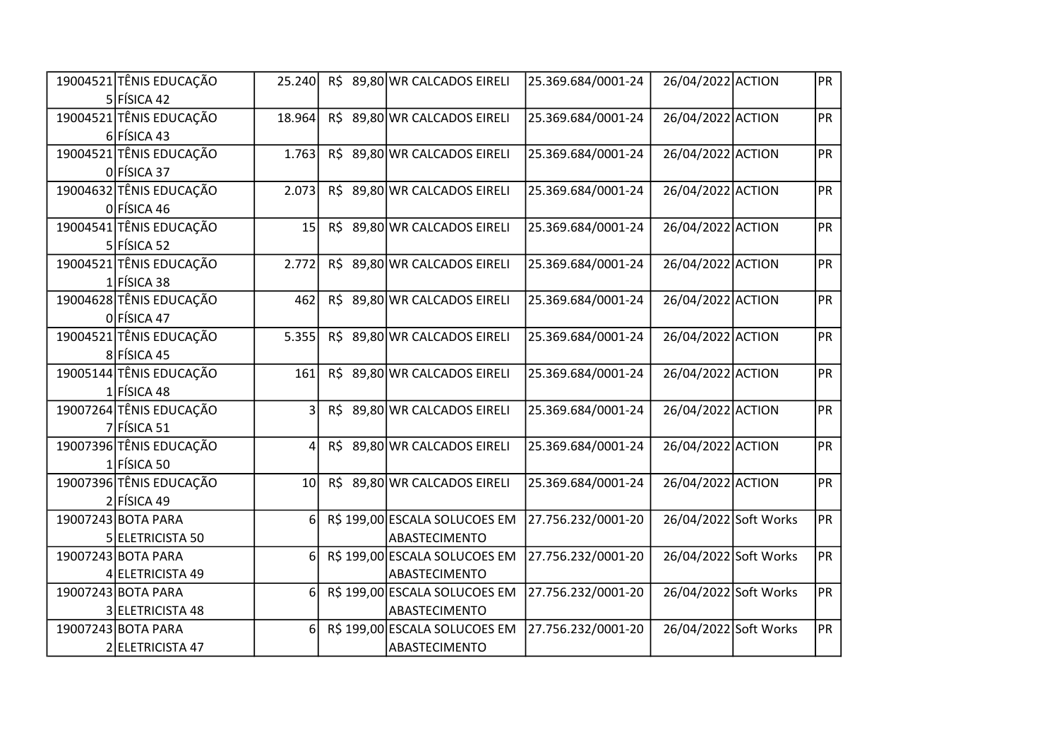| 19004521 TÊNIS EDUCAÇÃO | 25.240                  |  | R\$ 89,80 WR CALCADOS EIRELI  | 25.369.684/0001-24 | 26/04/2022 ACTION |                       | PR        |
|-------------------------|-------------------------|--|-------------------------------|--------------------|-------------------|-----------------------|-----------|
| $5$ FÍSICA 42           |                         |  |                               |                    |                   |                       |           |
| 19004521 TÊNIS EDUCAÇÃO | 18.964                  |  | R\$ 89,80 WR CALCADOS EIRELI  | 25.369.684/0001-24 | 26/04/2022 ACTION |                       | <b>PR</b> |
| 6 FÍSICA 43             |                         |  |                               |                    |                   |                       |           |
| 19004521 TÊNIS EDUCAÇÃO | 1.763                   |  | R\$ 89,80 WR CALCADOS EIRELI  | 25.369.684/0001-24 | 26/04/2022 ACTION |                       | <b>PR</b> |
| $0$ FÍSICA 37           |                         |  |                               |                    |                   |                       |           |
| 19004632 TÊNIS EDUCAÇÃO | 2.073                   |  | R\$ 89,80 WR CALCADOS EIRELI  | 25.369.684/0001-24 | 26/04/2022 ACTION |                       | <b>PR</b> |
| 0 FÍSICA 46             |                         |  |                               |                    |                   |                       |           |
| 19004541 TÊNIS EDUCAÇÃO | 15                      |  | R\$ 89,80 WR CALCADOS EIRELI  | 25.369.684/0001-24 | 26/04/2022 ACTION |                       | <b>PR</b> |
| 5 FÍSICA 52             |                         |  |                               |                    |                   |                       |           |
| 19004521 TÊNIS EDUCAÇÃO | 2.772                   |  | R\$ 89,80 WR CALCADOS EIRELI  | 25.369.684/0001-24 | 26/04/2022 ACTION |                       | PR        |
| $1$ FÍSICA 38           |                         |  |                               |                    |                   |                       |           |
| 19004628 TÊNIS EDUCAÇÃO | 462                     |  | R\$ 89,80 WR CALCADOS EIRELI  | 25.369.684/0001-24 | 26/04/2022 ACTION |                       | <b>PR</b> |
| 0 FÍSICA 47             |                         |  |                               |                    |                   |                       |           |
| 19004521 TÊNIS EDUCAÇÃO | 5.355                   |  | R\$ 89,80 WR CALCADOS EIRELI  | 25.369.684/0001-24 | 26/04/2022 ACTION |                       | <b>PR</b> |
| 8 FÍSICA 45             |                         |  |                               |                    |                   |                       |           |
| 19005144 TÊNIS EDUCAÇÃO | 161                     |  | R\$ 89,80 WR CALCADOS EIRELI  | 25.369.684/0001-24 | 26/04/2022 ACTION |                       | PR        |
| $1$ FÍSICA 48           |                         |  |                               |                    |                   |                       |           |
| 19007264 TÊNIS EDUCAÇÃO | $\overline{\mathsf{3}}$ |  | R\$ 89,80 WR CALCADOS EIRELI  | 25.369.684/0001-24 | 26/04/2022 ACTION |                       | <b>PR</b> |
| 7 FÍSICA 51             |                         |  |                               |                    |                   |                       |           |
| 19007396 TÊNIS EDUCAÇÃO | 4                       |  | R\$ 89,80 WR CALCADOS EIRELI  | 25.369.684/0001-24 | 26/04/2022 ACTION |                       | PR        |
| $1$ FÍSICA 50           |                         |  |                               |                    |                   |                       |           |
| 19007396 TÊNIS EDUCAÇÃO | 10 <sup>1</sup>         |  | R\$ 89,80 WR CALCADOS EIRELI  | 25.369.684/0001-24 | 26/04/2022 ACTION |                       | PR        |
| $2$ FÍSICA 49           |                         |  |                               |                    |                   |                       |           |
| 19007243 BOTA PARA      | 6                       |  | R\$ 199,00 ESCALA SOLUCOES EM | 27.756.232/0001-20 |                   | 26/04/2022 Soft Works | PR        |
| 5 ELETRICISTA 50        |                         |  | ABASTECIMENTO                 |                    |                   |                       |           |
| 19007243 BOTA PARA      | 6                       |  | R\$ 199,00 ESCALA SOLUCOES EM | 27.756.232/0001-20 |                   | 26/04/2022 Soft Works | PR        |
| 4 ELETRICISTA 49        |                         |  | ABASTECIMENTO                 |                    |                   |                       |           |
| 19007243 BOTA PARA      | 6                       |  | R\$ 199,00 ESCALA SOLUCOES EM | 27.756.232/0001-20 |                   | 26/04/2022 Soft Works | PR        |
| 3 ELETRICISTA 48        |                         |  | ABASTECIMENTO                 |                    |                   |                       |           |
| 19007243 BOTA PARA      | 6 <sup>1</sup>          |  | R\$ 199,00 ESCALA SOLUCOES EM | 27.756.232/0001-20 |                   | 26/04/2022 Soft Works | PR        |
| 2 ELETRICISTA 47        |                         |  | ABASTECIMENTO                 |                    |                   |                       |           |